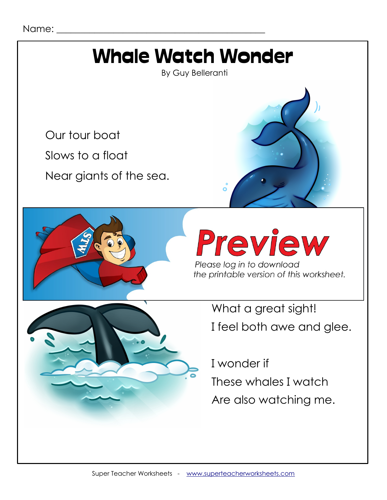## Whale Watch Wonder

By Guy Belleranti

Our tour boat

Slows to a float

Near giants of the sea.



**Preview** the printable version of this worksheet.

What a great sight! I feel both awe and glee.

 I wonder if These whales I watch Are also watching me.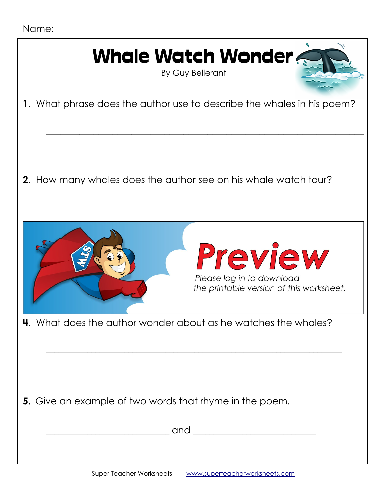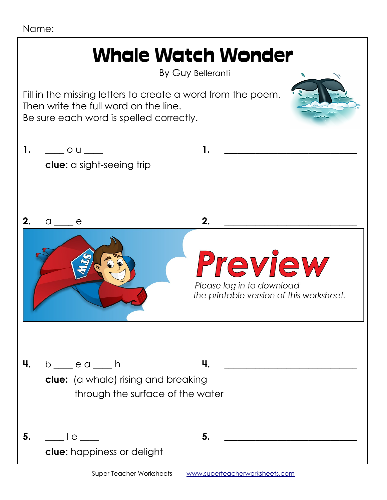Name:

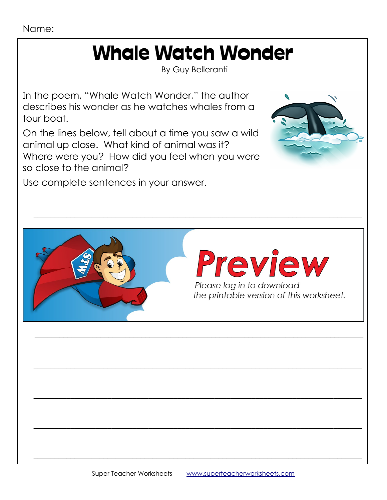Name:

# **Whale Watch Wonder**

**By Guy Belleranti** 

In the poem, "Whale Watch Wonder," the author describes his wonder as he watches whales from a tour boat.

On the lines below, tell about a time you saw a wild animal up close. What kind of animal was it? Where were you? How did you feel when you were so close to the animal?

Use complete sentences in your answer.



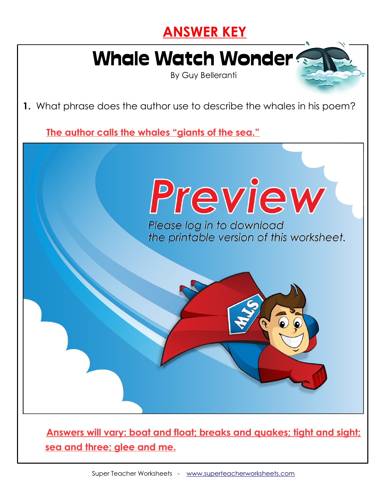#### **ANSWER KEY**

## Whale Watch Wonder

By Guy Belleranti

**1.** What phrase does the author use to describe the whales in his poem?

**The author calls the whales "giants of the sea."**



 **Answers will vary: boat and float; breaks and quakes; tight and sight; sea and three; glee and me.**